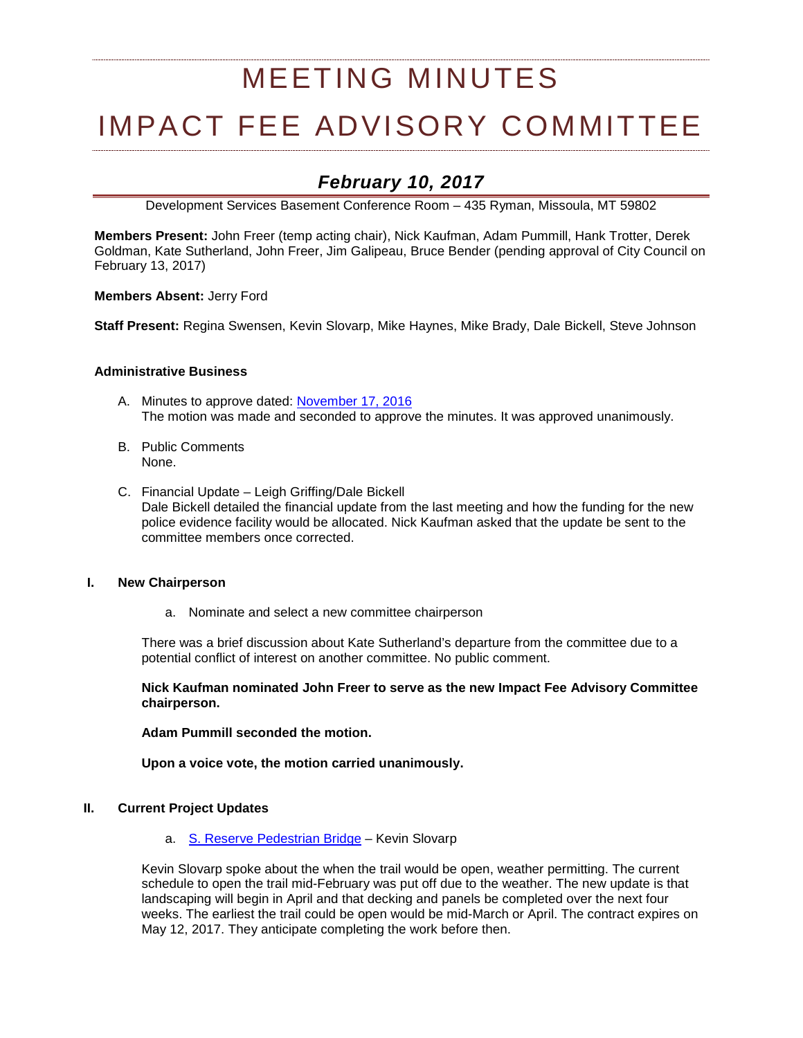# MEETING MINUTES

# IMPACT FEE ADVISORY COMMITTEE

# *February 10, 2017*

Development Services Basement Conference Room – 435 Ryman, Missoula, MT 59802

**Members Present:** John Freer (temp acting chair), Nick Kaufman, Adam Pummill, Hank Trotter, Derek Goldman, Kate Sutherland, John Freer, Jim Galipeau, Bruce Bender (pending approval of City Council on February 13, 2017)

**Members Absent:** Jerry Ford

**Staff Present:** Regina Swensen, Kevin Slovarp, Mike Haynes, Mike Brady, Dale Bickell, Steve Johnson

#### **Administrative Business**

- A. Minutes to approve dated: [November 17, 2016](http://ci.missoula.mt.us/Archive.aspx?ADID=10900) The motion was made and seconded to approve the minutes. It was approved unanimously.
- B. Public Comments None.
- C. Financial Update Leigh Griffing/Dale Bickell Dale Bickell detailed the financial update from the last meeting and how the funding for the new police evidence facility would be allocated. Nick Kaufman asked that the update be sent to the committee members once corrected.

#### **I. New Chairperson**

a. Nominate and select a new committee chairperson

There was a brief discussion about Kate Sutherland's departure from the committee due to a potential conflict of interest on another committee. No public comment.

**Nick Kaufman nominated John Freer to serve as the new Impact Fee Advisory Committee chairperson.** 

**Adam Pummill seconded the motion.**

**Upon a voice vote, the motion carried unanimously.**

#### **II. Current Project Updates**

a. [S. Reserve Pedestrian Bridge](https://www.ci.missoula.mt.us/DocumentCenter/View/29305) – Kevin Slovarp

Kevin Slovarp spoke about the when the trail would be open, weather permitting. The current schedule to open the trail mid-February was put off due to the weather. The new update is that landscaping will begin in April and that decking and panels be completed over the next four weeks. The earliest the trail could be open would be mid-March or April. The contract expires on May 12, 2017. They anticipate completing the work before then.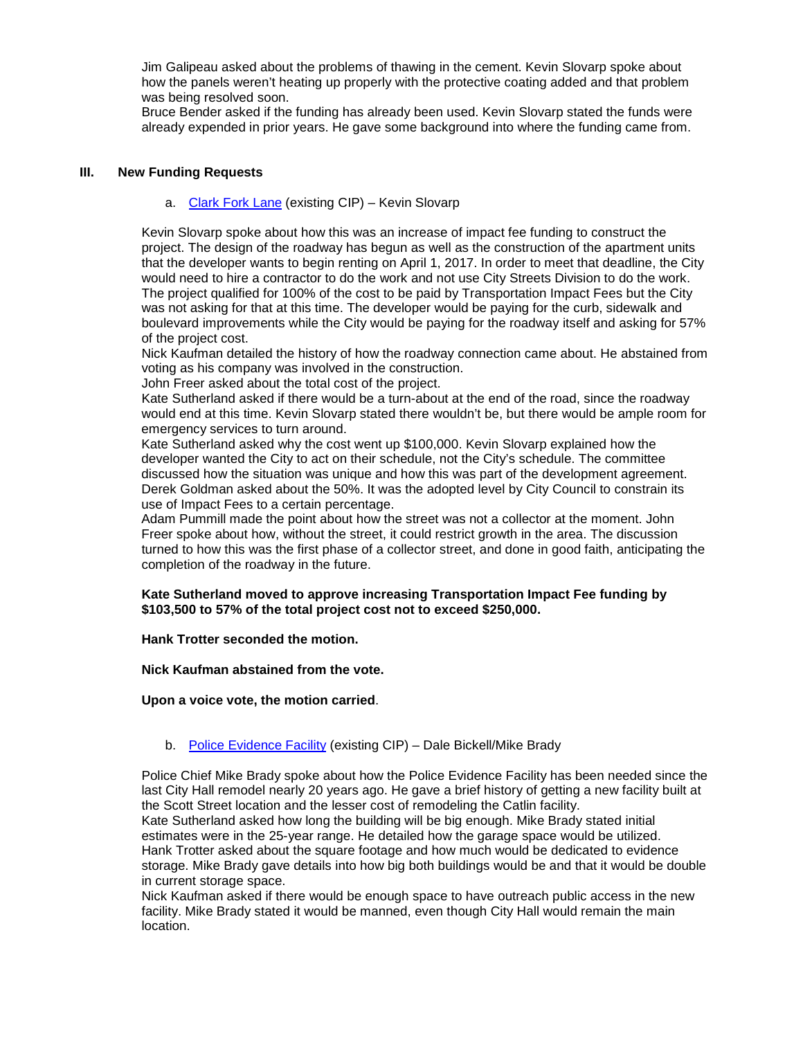Jim Galipeau asked about the problems of thawing in the cement. Kevin Slovarp spoke about how the panels weren't heating up properly with the protective coating added and that problem was being resolved soon.

Bruce Bender asked if the funding has already been used. Kevin Slovarp stated the funds were already expended in prior years. He gave some background into where the funding came from.

### **III. New Funding Requests**

#### a. [Clark Fork Lane](https://www.ci.missoula.mt.us/DocumentCenter/View/38174) (existing CIP) – Kevin Slovarp

Kevin Slovarp spoke about how this was an increase of impact fee funding to construct the project. The design of the roadway has begun as well as the construction of the apartment units that the developer wants to begin renting on April 1, 2017. In order to meet that deadline, the City would need to hire a contractor to do the work and not use City Streets Division to do the work. The project qualified for 100% of the cost to be paid by Transportation Impact Fees but the City was not asking for that at this time. The developer would be paying for the curb, sidewalk and boulevard improvements while the City would be paying for the roadway itself and asking for 57% of the project cost.

Nick Kaufman detailed the history of how the roadway connection came about. He abstained from voting as his company was involved in the construction.

John Freer asked about the total cost of the project.

Kate Sutherland asked if there would be a turn-about at the end of the road, since the roadway would end at this time. Kevin Slovarp stated there wouldn't be, but there would be ample room for emergency services to turn around.

Kate Sutherland asked why the cost went up \$100,000. Kevin Slovarp explained how the developer wanted the City to act on their schedule, not the City's schedule. The committee discussed how the situation was unique and how this was part of the development agreement. Derek Goldman asked about the 50%. It was the adopted level by City Council to constrain its use of Impact Fees to a certain percentage.

Adam Pummill made the point about how the street was not a collector at the moment. John Freer spoke about how, without the street, it could restrict growth in the area. The discussion turned to how this was the first phase of a collector street, and done in good faith, anticipating the completion of the roadway in the future.

#### **Kate Sutherland moved to approve increasing Transportation Impact Fee funding by \$103,500 to 57% of the total project cost not to exceed \$250,000.**

**Hank Trotter seconded the motion.** 

**Nick Kaufman abstained from the vote.** 

**Upon a voice vote, the motion carried**.

## b. [Police Evidence Facility](https://www.ci.missoula.mt.us/DocumentCenter/View/32605) (existing CIP) – Dale Bickell/Mike Brady

Police Chief Mike Brady spoke about how the Police Evidence Facility has been needed since the last City Hall remodel nearly 20 years ago. He gave a brief history of getting a new facility built at the Scott Street location and the lesser cost of remodeling the Catlin facility.

Kate Sutherland asked how long the building will be big enough. Mike Brady stated initial estimates were in the 25-year range. He detailed how the garage space would be utilized. Hank Trotter asked about the square footage and how much would be dedicated to evidence storage. Mike Brady gave details into how big both buildings would be and that it would be double in current storage space.

Nick Kaufman asked if there would be enough space to have outreach public access in the new facility. Mike Brady stated it would be manned, even though City Hall would remain the main location.